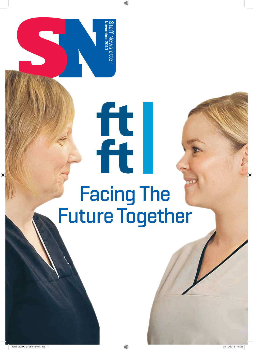Staff Newslette<br>November 2011 **November 2011** Staff Newsletter

## Facing The Future Together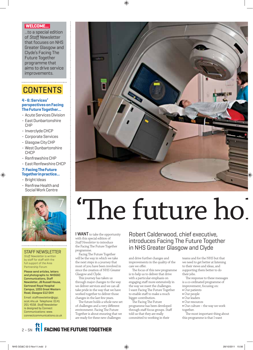#### **WELCOME...**

...to a special edition of *Staff Newsletter* that focuses on NHS Greater Glasgow and Clyde's Facing The Future Together programme that aims to drive service improvements.

#### **CONTENTS**

#### **4 - 6: Services' perspectives on Facing The Future Together...**

- Acute Services Division
- East Dunbartonshire CHP
- Inverclyde CHCP
- Corporate Services
- Glasgow City CHP
- West Dunbartonshire CHCP
- Renfrewshire CHP
- East Renfewshire CHCP

#### **7: Facing The Future Together in practice...**

- Bright Ideas
- Renfrew Health and Social Work Centre



#### STAFF NEWSLETTER

*Staff Newsletter* is written by staff for staff with the full support of the Area Partnership Forum

Please send articles, letters and photographs to: NHSGGC Communications, Staff Newsletter, JB Russell House, Gartnavel Royal Hospital Campus, 1055 Great Western Road, Glasgow G12 0XH Email: staffnewsletter@ggc. scot.nhs.uk Telephone: 0141 201 4558. *Staff Newsletter* is designed by Connect Communications: www. connectcommunications.co.uk

# value to

## 'The future ho

I WANT to take the opportunity with this special edition of *Staff Newsletter* to introduce the Facing The Future Together programme.

Facing The Future Together will be the way in which we take the next steps in a journey that most of you have been involved in since the creation of NHS Greater Glasgow and Clyde.

This journey has taken us through major changes to the way we deliver services and we can all take pride in the way that we have worked together to deliver those changes in the last few years.

The future holds a whole new set of challenges and a very different environment. Facing The Future Together is about ensuring that we are ready for these new challenges

Robert Calderwood, chief executive, introduces Facing The Future Together in NHS Greater Glasgow and Clyde

and drive further changes and improvements in the quality of the care we offer.

The focus of this new programme is to help us to deliver that drive with a particular emphasis on engaging staff more extensively in the way we meet the challenges. I want Facing The Future Together to enable staff to make a much bigger contribution.

The Facing The Future programme has been developed through staff focus groups. Staff told us that they are really committed to working in their

teams and for the NHS but that we need to get better at listening to their views and ideas, and supporting them better to do their jobs.

The response to these messages is a co-ordinated programme of improvement, focusing on:

- **t** Our patients
- **t** Our people **t** Our leaders
- **t** Our resources
- **t** Our culture the way we work together.

The most important thing about this programme is that I want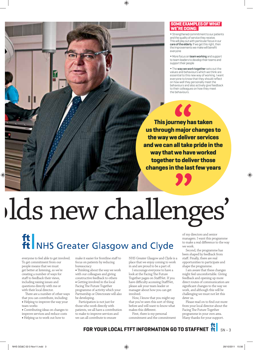#### **SOME EXAMPLES OF WHAT WE'RE DOING:**

**t** Strengthened commitment to our patients and the quality of service they receive. This will play out with particular focus in our care of the elderly. If we get this right, then the improvements we make will benefit everyone

**t** More focus on team working and support to team leaders to develop their teams and support their people

**t** The way we work together sets out the values and behaviours which we think are essential to this new way of working. I want everyone to know that they should reflect on how well they personally meet the behaviours and also actively give feedback to their colleagues on how they meet the behaviours.

**This journey has taken us through major changes to the way we deliver services and we can all take pride in the way that we have worked together to deliver those changes in the last few years**

 $\epsilon$ 

## lds new challenges'

### ft NHS Greater Glasgow and Clyde

everyone to feel able to get involved. To get commitment from our people means that we must get better at listening, so we're creating a number of ways for staff to feedback their views, including raising issues and questions directly with me or with their local director.

There are a number of other ways that you can contribute, including: **t** Helping to improve the way your team works

**t** Contributing ideas on changes to improve services and reduce costs

**t** Helping us to work out how to

make it easier for frontline staff to focus on patients by reducing bureaucracy

**t** Thinking about the way we work with our colleagues and giving constructive feedback to others **t** Getting involved in the local Facing The Future Together programme of activity which your Partnership or Directorate will also be developing.

Participation is not just for those who work directly with patients, we all have a contribution to make to improve services and we can all contribute to ensure

NHS Greater Glasgow and Clyde is a place that we enjoy coming to work in and are proud to be a part of.

I encourage everyone to have a look at the Facing The Future Together pages on StaffNet. If you have difficulty accessing StaffNet, please ask your team leader or manager about how you can get involved.

Now, I know that you might say that you've seen this sort of thing before and will want to know what makes this different.

First, there is my personal commitment and the commitment of my directors and senior managers. I want this programme to make a real difference to the way we work.

Second, the programme has been shaped by feedback from staff. Finally, there are real opportunities to participate and shape the programme.

I am aware that these changes might feel uncomfortable. Giving feedback and opening up more direct routes of communication are significant changes to the way we work, and although this will be challenging we must not let this deter us.

Please read on to find out more from your local director about the Facing The Future Together programme in your own area. Many thanks for your support.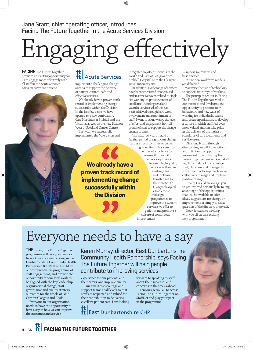Jane Grant, chief operating officer, introduces Facing The Future Together in the Acute Services Division

## Engaging effectively

FACING The Future Together provides an exciting opportunity for us to engage more effectively with all staff in the Acute Services Division as we continue to

#### ft |<br>ft | Acute Services

implement a challenging change agenda to support the delivery of patient-centred, safe and effective services.

We already have a proven track record of implementing change successfully within the Division. In the last few years we have opened two new Ambulatory Care Hospitals at Stobhill and the Victoria, as well as the new Beatson West of Scotland Cancer Centre. Last year, we successfully

implemented the Vale Vision and

**We already have a proven track record of implementing change successfully within the Division**

integrated inpatient services in the North and East of Glasgow from Stobhill Hospital onto the Glasgow Royal Infirmary site.

In addition, a wide range of services have been redesigned, modernised and in some cases centralised to single site working, to provide centres of excellence, including renal and vascular services. All of this has been achieved through hard work, involvement and commitment of staff. I want to acknowledge the level of effort and engagement from all groups of staff to support the change agenda to date.

The next few years herald a further period of significant change as our efforts continue to deliver

high-quality clinical care from centres of excellence to ensure that we will:

> **t** Provide patientfocused, high-quality services within our existing sites and for those transferring to the New South Glasgow hospital **t** Implement redesign programmes to improve the current services we offer to patients and promote a culture of continuous

**t** Support innovative and best practice

**t** Ensure new workforce models are delivered

**t** Maximise the use of technology to support new ways of working.

The principles set out in Facing The Future Together are vital to our business and I welcome the opportunity to promote new behaviours and new ways of working for individuals, teams and, as an organisation, to develop a culture in which staff feel even more valued and can take pride in the delivery of the highest standards of care to patients and service users.

Divisionally and through directorates, we will have actions and activities to support the implementation of Facing The Future Together. We will keep staff regularly updated to encourage staff, clinicians and managers to work together to improve how we collectively manage and implement positive change.

Finally, I would encourage you to get involved personally by taking advantage of the opportunities that will be available to offer ideas, suggestions for change or improvement or simply to ask a question of the directors or myself.

I look forward to working with you all on this exciting new programme.

#### Everyone needs to have a say

**THE** Facing The Future Together programme will be a great support to work we are already doing in East Dunbartonshire Community Health Partnership (CHP). It will build on our comprehensive programme of staff engagement, and provide the opportunity for our local work to be aligned with the key leadership, organisational change, staff governance and quality strategy outcomes for the whole of NHS Greater Glasgow and Clyde.

Everyone in our organisation needs to have the opportunity to have a say in how we can improve the outcomes and service

Karen Murray, director, East Dunbartonshire Community Health Partnership, says Facing The Future Together will help people contribute to improving services

improvement

experience for our patients and their carers, and improve quality.

Our aim is to encourage and support teams at all levels so that staff are respected and valued for their contribution to delivering excellent patient care. I am looking

forward to speaking to staff about their successes and concerns in the weeks ahead.

I encourage you all to access Facing The Future Together on StaffNet and play your part in the programme.

**East Dunbartonshire CHP**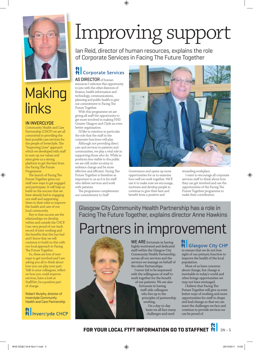

#### **Making** links

#### IN INVERCLYDE

Community Health and Care Partnership (CHCP) we are all committed to providing the best possible care services for the people of Inverclyde. The "Improving Lives" approach which we developed with staff to sum up our values and aims gives us a strong platform to get the best from the Facing The Future Programme.

The launch of Facing The Future Together gives our staff new ways to get engaged and participate. It will help us build on the success that we have already had in engaging our staff and supporting them in their roles to improve the health and care of our local community.

Key to that success are the relationships we develop within and outside the CHCP. I am very proud of our track record of joint working and the benefits that this has had and I know that we will continue to build on this with our local approach to Facing The Future Together.

So, there are lots of new ways to get involved and I am asking you all to think about how you can play your part. Talk to your colleagues, reflect on how you could improve services, have a look at StaffNet, be a positive part of change.

Robert Murphy, director of Inverclyde Community Health and Care Partnership



## Improving support

Ian Reid, director of human resources, explains the role of Corporate Services in Facing The Future Together

#### ft | Corporate Services

#### AS DIRECTOR of human

resources I welcome this opportunity to join with the other directors of finance, health information and technology, communications, planning and public health to give our commitment to Facing The Future Together.

With this programme we are giving all staff the opportunity to get more involved in making NHS Greater Glasgow and Clyde an even better organisation.

I'd like to mention in particular the role that the staff in the corporate functions will play.

Although not providing direct care and services to patients and communities, we play a vital role in supporting those who do. While in positions less visible to the public we are still under scrutiny to embrace change and be more effective and efficient. Facing The Future Together is therefore as important to us as it is for staff who deliver services and work with patients.

The programme complements our commitment to Staff



Governance and opens up more opportunities for us to examine how well we work together. We'll use it to make sure we encourage, motivate and develop people to continue to give their best and benefit from a positive and

rewarding workplace.

I want to encourage all corporate services staff to think about how they can get involved and use the opportunities of the Facing The Future Together programme to make their contribution.

Glasgow City Community Health Partnership has a role in Facing The Future Together, explains director Anne Hawkins

#### Partners in improvement

WE ARE fortunate in having highly motivated and dedicated staff within the Glasgow City Community Health Partnership, across all our services and the services we manage on behalf of the other Partnerships.

I never fail to be impressed with the willingness of staff to work together for the benefit of our patients. We are also

fortunate in having staff-side colleagues who live up to the principles of partnership working.

On a day-to-day basis we all face many challenges and need

#### $\left| \begin{array}{c} \mathbf{t} \\ \mathbf{f} \end{array} \right|$  Glasgow City CHP

sight of our primary function to improve the health of the local population.

Most of us have concerns about change, but change is inevitable in today's world and often brings opportunities we may not have envisaged.

I believe that Facing The Future Together will give us even better ways of working and more opportunities for staff to shape and lead change so that we can meet the challenges we face and continue to provide services we can be proud of.

**FOR YOUR LOCAL FTFT INFORMATION GO TO STAFFNET**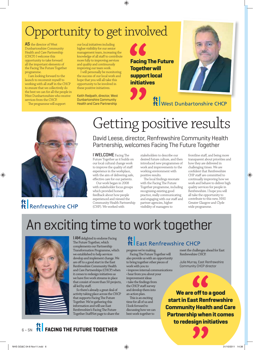#### Opportunity to get involved

AS the director of West Dunbartonshire Community Health and Care Partnership (CHCP) I welcome this opportunity to take forward all the important elements of the Facing The Future Together programme.

I am looking forward to the launch to recommit myself to working with all staff in the CHCP to ensure that we collectively do the best we can for all the people in West Dunbartonshire who receive services from the CHCP.

The programme will support

our local initiatives including higher visibility for our senior management team, increasing the knowledge of all staff to contribute more fully to improving services and quality and continuously improving our team work.

I will personally be monitoring the success of our local work and hope that you will all take this opportunity to be involved in these positive initiatives.

Keith Redpath, director, West Dunbartonshire Community Health and Care Partnership

**Facing The Future Together will support local initiatives**



ft<br> **ft** West Dunbartonshire CHCP



#### ft Renfrewshire CHP

#### Getting positive results

David Leese, director, Renfrewshire Community Health Partnership, welcomes Facing The Future Together

I WELCOME Facing The Future Together as it builds on our local cultural change work to improve the quality of staff experience in the workplace, with the aim of delivering safe, effective care for our patients.

Our work began in 2008 with stakeholder focus groups which provided honest feedback about how people experienced and viewed the Community Health Partnership (CHP). We worked with

stakeholders to describe our desired future culture, and then introduced new programmes of work and improvements to the working environment with positive results.

The local findings resonate with the Facing The Future Together programme, including recognising existing good practice, really communicating and engaging with our staff and partner agencies, higher visibility of managers to

frontline staff, and being more transparent about priorities and how they are delivered in challenging times. We are confident that Renfrewshire CHP staff are committed to continually improving how we work and behave to deliver high quality services for people in Renfrewshire. I hope you will all take the opportunity to contribute to this new, NHS Greater Glasgow and Clyde wide programme.

#### An exciting time to work together



**I AM** delighted to endorse Facing The Future Together, which complements our Partnership Transformation Programme, which we established to help services develop and implement change. We are off to a good start in the East Renfrewshire Community Health and Care Partnerships (CHCP) when it comes to redesign initiatives as we have five work streams in place that consist of more than 50 projects, all led by staff.

So there's already a great deal of activity taking place across the CHCP that supports Facing The Future Together. We're gathering this information and will use East Renfrewshire's Facing The Future Together StaffNet page to share the

#### ft East Renfrewshire CHCP

Facing The Future Together will also provide us with an opportunity to bring together other pieces of

work with you to: · improve internal communications • hear from you about your

improvement ideas • take the findings from the CHCP staff survey and develop them into an action plan.

This is an exciting time for all of us and I look forward to discussing how we can best work together to

meet the challenges ahead for East Renfrewshire CHCP.

Julie Murray, East Renfrewshire Community CHCP director

**We are off to a good start in East Renfrewshire Community Health and Care Partnership when it comes to redesign initiatives**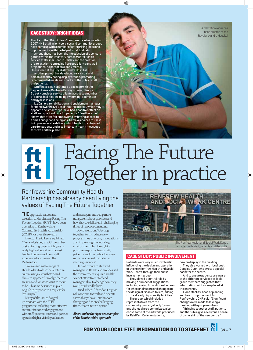#### **CASE STUDY: BRIGHT IDEAS**

Thanks to the "Bright Ideas" programme introduced in 2007, NHS staff in joint services and community groups have come up with a number of enterprising ideas and improvements, with the help of small budgets.

Among these has been the introduction of a sensory garden within the Recovery Across Mental Health service at Carlibar Road in Paisley and the creation of a relaxation room using fibre optic lights and wall projections, as part of an elderly mental

illness ward at the Royal Alexandra Hospital. Another project has developed very visual and portable healthy eating display stands, promoting recommended meals and snacks to the public, staff and patients.

Staff have also negotiated a package with the Lagoon Leisure Centre in Paisley offering George Street Homeless service clients access to a number of sports facilities including swimming, badminton and gym sessions.

Liz Daniels, rehabilitation and enablement manager for Renfrewshire CHP, said that these ideas, which may appear to be small steps, have had a positive effect on staff and quality of care for patients: "Feedback has shown that staff felt empowered by having access to a small budget and being able to make choices to use it to improve service delivery which has led to enhanced care for patients and also important health messages for staff and the public."

A relaxation room has been created at the Royal Alexandra Hospital

#### Facing The Future ft Together in practice

#### Renfrewshire Community Health Partnership has already been living the values of Facing The Future Together

**THE** approach, values and direction underpinning Facing The Future Together (FTFT) have been operating in Renfrewshire Community Health Partnership (RCHP) for over three years.

Director David Leese explained: "Our analysis began with a number of staff focus groups which gave us really high value and very honest feedback in terms of how staff experienced and viewed the Partnership.

"We worked with a range of stakeholders to describe our future culture using a straightforward 'from-to-approach', simply, where we are now and what we want to move to be. This was described in plain English in response to a request for less jargon!"

Many of the issues flagged up resonate with the FTFT programme, including more effective communication and engagement with staff, patients, carers and partner agencies; higher visibility as leaders

and managers; and being more transparent about priorities and how they are delivered in challenging times of resource constraint.

David went on: "Getting together to introduce new programmes of work, innovations, and improving the working environment, has brought a positive response from staff, patients and the public because more people feel included in shaping services."

He paid tribute to staff and managers in RCHP and emphasised the commitment required and the scale of effort from staff and managers alike to change how they work, think and behave.

David added: "If we don't try, we will continue to work and operate as we always have - and in ever changing and more challenging times, that is not an option.

*Above and to the right are examples of the Renfrewshire approach.*



#### **CASE STUDY: PUBLIC INVOLVEMENT**

Patients were very much involved in influencing the design and operation of the new Renfrew Health and Social Work Centre through their public involvement group.

They played a central role by making a number of suggestions, including asking for additional access for wheelchair users and changes to the design of disabled toilets, adding to the already high-quality facilities.

The group, which included representatives from the community council, elderly forum, and the local area committee, also chose some of the artwork, produced by Reid Kerr College students,

now on display in the building. They also worked with local poet

Douglas Dunn, who wrote a special poem for the centre.

And to ensure patients are aware of the different services available. group members suggested that information points were placed at the entrance.

Fiona MacKay, head of planning and health improvement for Renfrewshire CHP, said: "Significant changes were made following a meeting with group members.

"Bringing together staff , patients and the public gives everyone a sense of ownership of the new centre.